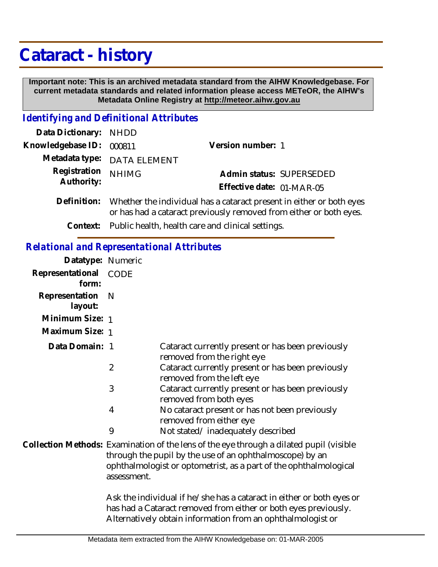# **Cataract - history**

 **Important note: This is an archived metadata standard from the AIHW Knowledgebase. For current metadata standards and related information please access METeOR, the AIHW's Metadata Online Registry at http://meteor.aihw.gov.au**

#### *Identifying and Definitional Attributes*

| Data Dictionary: NHDD            |                                                                                  |                           |                          |
|----------------------------------|----------------------------------------------------------------------------------|---------------------------|--------------------------|
| Knowledgebase ID: 000811         |                                                                                  | Version number: 1         |                          |
|                                  | Metadata type: DATA ELEMENT                                                      |                           |                          |
| Registration NHIMG<br>Authority: |                                                                                  |                           | Admin status: SUPERSEDED |
|                                  |                                                                                  | Effective date: 01-MAR-05 |                          |
|                                  | Definition: Whether the individual has a cataract present in either or both eyes |                           |                          |

or has had a cataract previously removed from either or both eyes.

**Context:** Public health, health care and clinical settings.

#### *Relational and Representational Attributes*

| Datatype: Numeric         |                                                                                                                                                                                                                                         |                                                                                                                                                                                                         |  |
|---------------------------|-----------------------------------------------------------------------------------------------------------------------------------------------------------------------------------------------------------------------------------------|---------------------------------------------------------------------------------------------------------------------------------------------------------------------------------------------------------|--|
| Representational<br>form: | CODE                                                                                                                                                                                                                                    |                                                                                                                                                                                                         |  |
| Representation<br>layout: | <sup>N</sup>                                                                                                                                                                                                                            |                                                                                                                                                                                                         |  |
| Minimum Size: 1           |                                                                                                                                                                                                                                         |                                                                                                                                                                                                         |  |
| Maximum Size: 1           |                                                                                                                                                                                                                                         |                                                                                                                                                                                                         |  |
| Data Domain: 1            |                                                                                                                                                                                                                                         | Cataract currently present or has been previously<br>removed from the right eye                                                                                                                         |  |
|                           | $\overline{2}$                                                                                                                                                                                                                          | Cataract currently present or has been previously<br>removed from the left eye                                                                                                                          |  |
|                           | 3                                                                                                                                                                                                                                       | Cataract currently present or has been previously<br>removed from both eyes                                                                                                                             |  |
|                           | 4                                                                                                                                                                                                                                       | No cataract present or has not been previously<br>removed from either eye                                                                                                                               |  |
|                           | 9                                                                                                                                                                                                                                       | Not stated/inadequately described                                                                                                                                                                       |  |
|                           | Collection Methods: Examination of the lens of the eye through a dilated pupil (visible<br>through the pupil by the use of an ophthalmoscope) by an<br>ophthalmologist or optometrist, as a part of the ophthalmological<br>assessment. |                                                                                                                                                                                                         |  |
|                           |                                                                                                                                                                                                                                         | Ask the individual if he/she has a cataract in either or both eyes or<br>has had a Cataract removed from either or both eyes previously.<br>Alternatively obtain information from an ophthalmologist or |  |